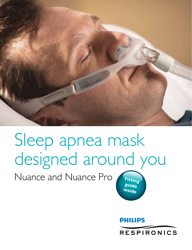

## Sleep apnea mask designed around you

Nuance and Nuance Pro

**guide inside**

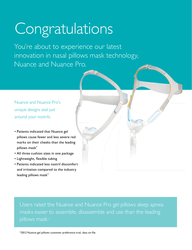### **Congratulations**

You're about to experience our latest innovation in nasal pillows mask technology, Nuance and Nuance Pro.

Nuance and Nuance Pro's unique designs seal just around your nostrils.

- Patients indicated that Nuance gel pillows cause fewer and less severe red marks on their cheeks than the leading pillows mask\*
- All three cushion sizes in one package
- Lightweight, flexible tubing
- Patients indicated less nostril discomfort and irritation compared to the industry leading pillows mask\*

Users rated the Nuance and Nuance Pro gel pillows sleep apnea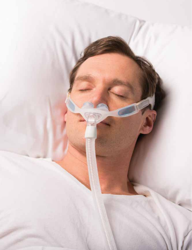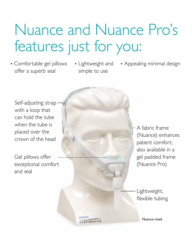### Nuance and Nuance Pro's features just for you:

- Comfortable gel pillows offer a superb seal
- Lightweight and simple to use
- Appealing minimal design

Self-adjusting strap with a loop that can hold the tube when the tube is placed over the crown of the head

Gel pillows offer exceptional comfort and seal

A fabric frame (Nuance) enhances patient comfort; also available in a gel padded frame (Nuance Pro)

Lightweight, flexible tubing

Nuance mask

**DIAILIPS** RESPIRONICS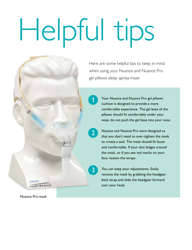# Helpful tips

1

2

3

Here are some helpful tips to keep in mind when using your Nuance and Nuance Pro gel pillows sleep apnea mask:

> Your Nuance and Nuance Pro gel pillows cushion is designed to provide a more comfortable experience. The gel base of the pillows should fit comfortably under your nose; do not push the gel base into your nose.

Nuance and Nuance Pro were designed so that you don't need to over-tighten the mask to create a seal. The mask should fit loose and comfortable. If your skin bulges around the mask, or if you see red marks on your face, loosen the straps.

You can keep your adjustments. Easily remove the mask by grabbing the headgear back strap and slide the headgear forward over your head.

Nuance Pro mask

**PHILIPS** RESPIRONICS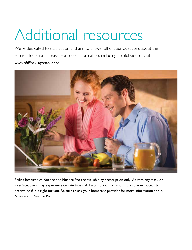### Additional resources

We're dedicated to satisfaction and aim to answer all of your questions about the Amara sleep apnea mask. For more information, including helpful videos, visit *www.philips.us/yournuance*



Philips Respironics Nuance and Nuance Pro are available by prescription only. As with any mask or interface, users may experience certain types of discomfort or irritation. Talk to your doctor to determine if it is right for you. Be sure to ask your homecare provider for more information about Nuance and Nuance Pro.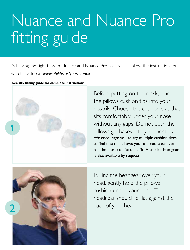### Nuance and Nuance Pro fitting guide

Achieving the right fit with Nuance and Nuance Pro is easy; just follow the instructions or watch a video at *www.philips.us/yournuance*

### **See OIS fitting guide for complete instructions.**



Before putting on the mask, place the pillows cushion tips into your nostrils. Choose the cushion size that sits comfortably under your nose without any gaps. Do not push the pillows gel bases into your nostrils. We encourage you to try multiple cushion sizes to find one that allows you to breathe easily and has the most comfortable fit. A smaller headgear is also available by request.



Pulling the headgear over your head, gently hold the pillows cushion under your nose. The headgear should lie flat against the back of your head.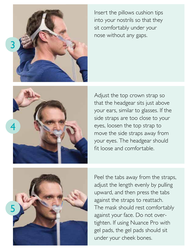

Insert the pillows cushion tips into your nostrils so that they sit comfortably under your nose without any gaps.



Adjust the top crown strap so that the headgear sits just above your ears, similar to glasses. If the side straps are too close to your eyes, loosen the top strap to move the side straps away from your eyes. The headgear should fit loose and comfortable.



Peel the tabs away from the straps, adjust the length evenly by pulling upward, and then press the tabs against the straps to reattach. The mask should rest comfortably against your face. Do not overtighten. If using Nuance Pro with gel pads, the gel pads should sit under your cheek bones.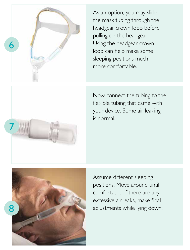

As an option, you may slide the mask tubing through the headgear crown loop before pulling on the headgear. Using the headgear crown loop can help make some sleeping positions much more comfortable.



Now connect the tubing to the flexible tubing that came with your device. Some air leaking is normal.



Assume different sleeping positions. Move around until comfortable. If there are any excessive air leaks, make final